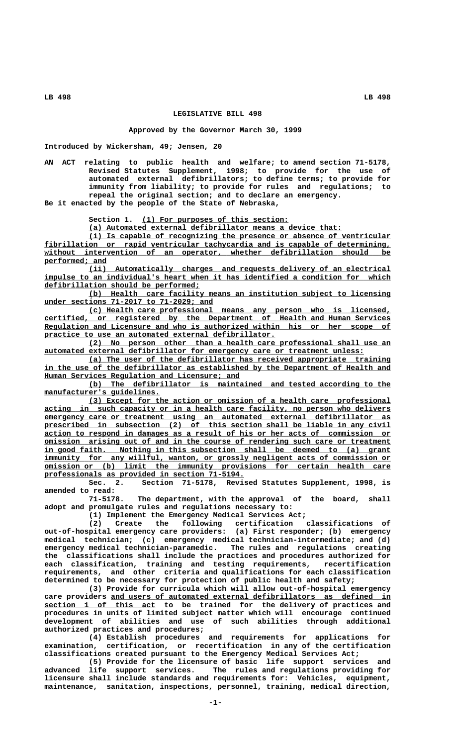## **LEGISLATIVE BILL 498**

## **Approved by the Governor March 30, 1999**

**Introduced by Wickersham, 49; Jensen, 20**

**AN ACT relating to public health and welfare; to amend section 71-5178, Revised Statutes Supplement, 1998; to provide for the use of automated external defibrillators; to define terms; to provide for immunity from liability; to provide for rules and regulations; to repeal the original section; and to declare an emergency. Be it enacted by the people of the State of Nebraska,**

Section 1. (1) For purposes of this section:

 **\_\_\_\_\_\_\_\_\_\_\_\_\_\_\_\_\_\_\_\_\_\_\_\_\_\_\_\_\_\_\_\_\_\_\_\_\_\_\_\_\_\_\_\_\_\_\_\_\_\_\_\_\_\_\_\_\_ (a) Automated external defibrillator means a device that:**

 **\_\_\_\_\_\_\_\_\_\_\_\_\_\_\_\_\_\_\_\_\_\_\_\_\_\_\_\_\_\_\_\_\_\_\_\_\_\_\_\_\_\_\_\_\_\_\_\_\_\_\_\_\_\_\_\_\_\_\_\_\_\_\_\_\_\_\_\_ (i) Is capable of recognizing the presence or absence of ventricular \_\_\_\_\_\_\_\_\_\_\_\_\_\_\_\_\_\_\_\_\_\_\_\_\_\_\_\_\_\_\_\_\_\_\_\_\_\_\_\_\_\_\_\_\_\_\_\_\_\_\_\_\_\_\_\_\_\_\_\_\_\_\_\_\_\_\_\_\_\_\_\_\_\_\_\_\_\_ fibrillation or rapid ventricular tachycardia and is capable of determining, \_\_\_\_\_\_\_\_\_\_\_\_\_\_\_\_\_\_\_\_\_\_\_\_\_\_\_\_\_\_\_\_\_\_\_\_\_\_\_\_\_\_\_\_\_\_\_\_\_\_\_\_\_\_\_\_\_\_\_\_\_\_\_\_\_\_\_\_\_\_\_\_\_\_\_\_\_\_ without intervention of an operator, whether defibrillation should be performed; and \_\_\_\_\_\_\_\_\_\_\_\_\_\_**

 **\_\_\_\_\_\_\_\_\_\_\_\_\_\_\_\_\_\_\_\_\_\_\_\_\_\_\_\_\_\_\_\_\_\_\_\_\_\_\_\_\_\_\_\_\_\_\_\_\_\_\_\_\_\_\_\_\_\_\_\_\_\_\_\_\_\_\_\_ (ii) Automatically charges and requests delivery of an electrical \_\_\_\_\_\_\_\_\_\_\_\_\_\_\_\_\_\_\_\_\_\_\_\_\_\_\_\_\_\_\_\_\_\_\_\_\_\_\_\_\_\_\_\_\_\_\_\_\_\_\_\_\_\_\_\_\_\_\_\_\_\_\_\_\_\_\_\_\_\_\_\_\_\_\_\_\_\_ impulse to an individual's heart when it has identified a condition for which \_\_\_\_\_\_\_\_\_\_\_\_\_\_\_\_\_\_\_\_\_\_\_\_\_\_\_\_\_\_\_\_\_\_\_ defibrillation should be performed;**

 **\_\_\_\_\_\_\_\_\_\_\_\_\_\_\_\_\_\_\_\_\_\_\_\_\_\_\_\_\_\_\_\_\_\_\_\_\_\_\_\_\_\_\_\_\_\_\_\_\_\_\_\_\_\_\_\_\_\_\_\_\_\_\_\_\_\_\_\_ (b) Health care facility means an institution subject to licensing \_\_\_\_\_\_\_\_\_\_\_\_\_\_\_\_\_\_\_\_\_\_\_\_\_\_\_\_\_\_\_\_\_\_\_\_\_\_ under sections 71-2017 to 71-2029; and**

 **\_\_\_\_\_\_\_\_\_\_\_\_\_\_\_\_\_\_\_\_\_\_\_\_\_\_\_\_\_\_\_\_\_\_\_\_\_\_\_\_\_\_\_\_\_\_\_\_\_\_\_\_\_\_\_\_\_\_\_\_\_\_\_\_\_\_\_\_ (c) Health care professional means any person who is licensed, \_\_\_\_\_\_\_\_\_\_\_\_\_\_\_\_\_\_\_\_\_\_\_\_\_\_\_\_\_\_\_\_\_\_\_\_\_\_\_\_\_\_\_\_\_\_\_\_\_\_\_\_\_\_\_\_\_\_\_\_\_\_\_\_\_\_\_\_\_\_\_\_\_\_\_\_\_\_ certified, or registered by the Department of Health and Human Services** Regulation and Licensure and who is authorized within his or her scope of  **\_\_\_\_\_\_\_\_\_\_\_\_\_\_\_\_\_\_\_\_\_\_\_\_\_\_\_\_\_\_\_\_\_\_\_\_\_\_\_\_\_\_\_\_\_\_\_\_\_\_\_\_ practice to use an automated external defibrillator.**

 **\_\_\_\_\_\_\_\_\_\_\_\_\_\_\_\_\_\_\_\_\_\_\_\_\_\_\_\_\_\_\_\_\_\_\_\_\_\_\_\_\_\_\_\_\_\_\_\_\_\_\_\_\_\_\_\_\_\_\_\_\_\_\_\_\_\_\_\_ (2) No person other than a health care professional shall use an \_\_\_\_\_\_\_\_\_\_\_\_\_\_\_\_\_\_\_\_\_\_\_\_\_\_\_\_\_\_\_\_\_\_\_\_\_\_\_\_\_\_\_\_\_\_\_\_\_\_\_\_\_\_\_\_\_\_\_\_\_\_\_\_\_\_\_\_\_\_\_\_ automated external defibrillator for emergency care or treatment unless:**

> **\_\_\_\_\_\_\_\_\_\_\_\_\_\_\_\_\_\_\_\_\_\_\_\_\_\_\_\_\_\_\_\_\_\_\_\_\_\_\_\_\_\_\_\_\_\_\_\_\_\_\_\_\_\_\_\_\_\_\_\_\_\_\_\_\_\_\_\_ (a) The user of the defibrillator has received appropriate training \_\_\_\_\_\_\_\_\_\_\_\_\_\_\_\_\_\_\_\_\_\_\_\_\_\_\_\_\_\_\_\_\_\_\_\_\_\_\_\_\_\_\_\_\_\_\_\_\_\_\_\_\_\_\_\_\_\_\_\_\_\_\_\_\_\_\_\_\_\_\_\_\_\_\_\_\_\_ in the use of the defibrillator as established by the Department of Health and Human Services Regulation and Licensure; and**

> **\_\_\_\_\_\_\_\_\_\_\_\_\_\_\_\_\_\_\_\_\_\_\_\_\_\_\_\_\_\_\_\_\_\_\_\_\_\_\_\_\_\_\_\_\_\_\_\_\_\_\_\_\_\_\_\_\_\_\_\_\_\_\_\_\_\_\_\_ (b) The defibrillator is maintained and tested according to the manufacturer's guidelines. \_\_\_\_\_\_\_\_\_\_\_\_\_\_\_\_\_\_\_\_\_\_\_\_\_\_**

> **\_\_\_\_\_\_\_\_\_\_\_\_\_\_\_\_\_\_\_\_\_\_\_\_\_\_\_\_\_\_\_\_\_\_\_\_\_\_\_\_\_\_\_\_\_\_\_\_\_\_\_\_\_\_\_\_\_\_\_\_\_\_\_\_\_\_\_\_ (3) Except for the action or omission of a health care professional \_\_\_\_\_\_\_\_\_\_\_\_\_\_\_\_\_\_\_\_\_\_\_\_\_\_\_\_\_\_\_\_\_\_\_\_\_\_\_\_\_\_\_\_\_\_\_\_\_\_\_\_\_\_\_\_\_\_\_\_\_\_\_\_\_\_\_\_\_\_\_\_\_\_\_\_\_\_ acting in such capacity or in a health care facility, no person who delivers \_\_\_\_\_\_\_\_\_\_\_\_\_\_\_\_\_\_\_\_\_\_\_\_\_\_\_\_\_\_\_\_\_\_\_\_\_\_\_\_\_\_\_\_\_\_\_\_\_\_\_\_\_\_\_\_\_\_\_\_\_\_\_\_\_\_\_\_\_\_\_\_\_\_\_\_\_\_ emergency care or treatment using an automated external defibrillator as** prescribed in subsection (2) of this section shall be liable in any civil  **\_\_\_\_\_\_\_\_\_\_\_\_\_\_\_\_\_\_\_\_\_\_\_\_\_\_\_\_\_\_\_\_\_\_\_\_\_\_\_\_\_\_\_\_\_\_\_\_\_\_\_\_\_\_\_\_\_\_\_\_\_\_\_\_\_\_\_\_\_\_\_\_\_\_\_\_\_\_ action to respond in damages as a result of his or her acts of commission or**  $\frac{1}{1}$   $\frac{1}{1}$   $\frac{1}{1}$   $\frac{1}{1}$   $\frac{1}{1}$   $\frac{1}{1}$   $\frac{1}{1}$   $\frac{1}{1}$   $\frac{1}{1}$   $\frac{1}{1}$   $\frac{1}{1}$   $\frac{1}{1}$   $\frac{1}{1}$   $\frac{1}{1}$   $\frac{1}{1}$   $\frac{1}{1}$   $\frac{1}{1}$   $\frac{1}{1}$   $\frac{1}{1}$   $\frac{1}{1}$   $\frac{1}{1}$   $\frac{1}{1}$   $\$  **\_\_\_\_\_\_\_\_\_\_\_\_\_\_\_\_\_\_\_\_\_\_\_\_\_\_\_\_\_\_\_\_\_\_\_\_\_\_\_\_\_\_\_\_\_\_\_\_\_\_\_\_\_\_\_\_\_\_\_\_\_\_\_\_\_\_\_\_\_\_\_\_\_\_\_\_\_\_ in good faith. Nothing in this subsection shall be deemed to (a) grant**  $\text{immunity}$  for any willful, wanton, or grossly negligent acts of commission or  **\_\_\_\_\_\_\_\_\_\_\_\_\_\_\_\_\_\_\_\_\_\_\_\_\_\_\_\_\_\_\_\_\_\_\_\_\_\_\_\_\_\_\_\_\_\_\_\_\_\_\_\_\_\_\_\_\_\_\_\_\_\_\_\_\_\_\_\_\_\_\_\_\_\_\_\_\_\_ omission or (b) limit the immunity provisions for certain health care \_\_\_\_\_\_\_\_\_\_\_\_\_\_\_\_\_\_\_\_\_\_\_\_\_\_\_\_\_\_\_\_\_\_\_\_\_\_\_\_\_\_\_\_\_ professionals as provided in section 71-5194.**

> **Sec. 2. Section 71-5178, Revised Statutes Supplement, 1998, is amended to read:**

> **71-5178. The department, with the approval of the board, shall adopt and promulgate rules and regulations necessary to:**

**(1) Implement the Emergency Medical Services Act;**

**(2) Create the following certification classifications of out-of-hospital emergency care providers: (a) First responder; (b) emergency medical technician; (c) emergency medical technician-intermediate; and (d) emergency medical technician-paramedic. The rules and regulations creating the classifications shall include the practices and procedures authorized for each classification, training and testing requirements, recertification requirements, and other criteria and qualifications for each classification determined to be necessary for protection of public health and safety;**

**(3) Provide for curricula which will allow out-of-hospital emergency \_\_\_\_\_\_\_\_\_\_\_\_\_\_\_\_\_\_\_\_\_\_\_\_\_\_\_\_\_\_\_\_\_\_\_\_\_\_\_\_\_\_\_\_\_\_\_\_\_\_\_\_\_\_\_\_\_\_\_\_\_\_\_ care providers and users of automated external defibrillators as defined in \_\_\_\_\_\_\_\_\_\_\_\_\_\_\_\_\_\_\_\_\_\_\_\_\_ section 1 of this act to be trained for the delivery of practices and procedures in units of limited subject matter which will encourage continued development of abilities and use of such abilities through additional authorized practices and procedures;**

**(4) Establish procedures and requirements for applications for examination, certification, or recertification in any of the certification classifications created pursuant to the Emergency Medical Services Act;**

**(5) Provide for the licensure of basic life support services and** The rules and regulations providing for **licensure shall include standards and requirements for: Vehicles, equipment, maintenance, sanitation, inspections, personnel, training, medical direction,**